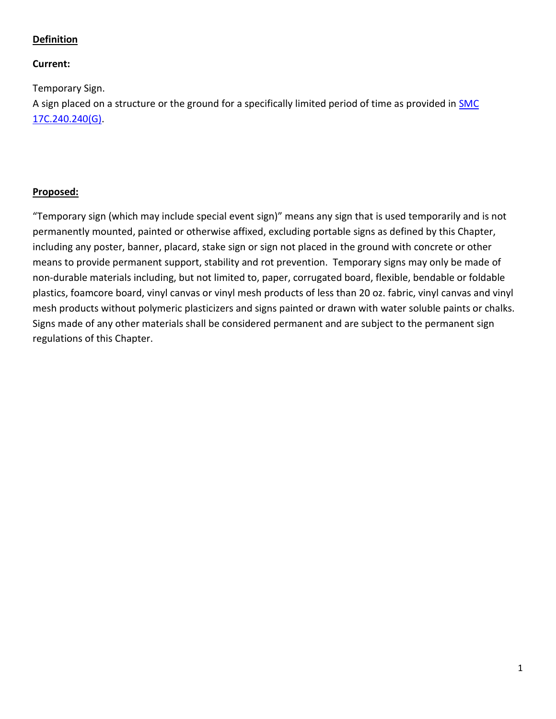# **Definition**

## **Current:**

Temporary Sign. A sign placed on a structure or the ground for a specifically limited period of time as provided in [SMC](https://my.spokanecity.org/smc/?Section=17C.240.240)  [17C.240.240\(G\).](https://my.spokanecity.org/smc/?Section=17C.240.240)

# **Proposed:**

"Temporary sign (which may include special event sign)" means any sign that is used temporarily and is not permanently mounted, painted or otherwise affixed, excluding portable signs as defined by this Chapter, including any poster, banner, placard, stake sign or sign not placed in the ground with concrete or other means to provide permanent support, stability and rot prevention. Temporary signs may only be made of non-durable materials including, but not limited to, paper, corrugated board, flexible, bendable or foldable plastics, foamcore board, vinyl canvas or vinyl mesh products of less than 20 oz. fabric, vinyl canvas and vinyl mesh products without polymeric plasticizers and signs painted or drawn with water soluble paints or chalks. Signs made of any other materials shall be considered permanent and are subject to the permanent sign regulations of this Chapter.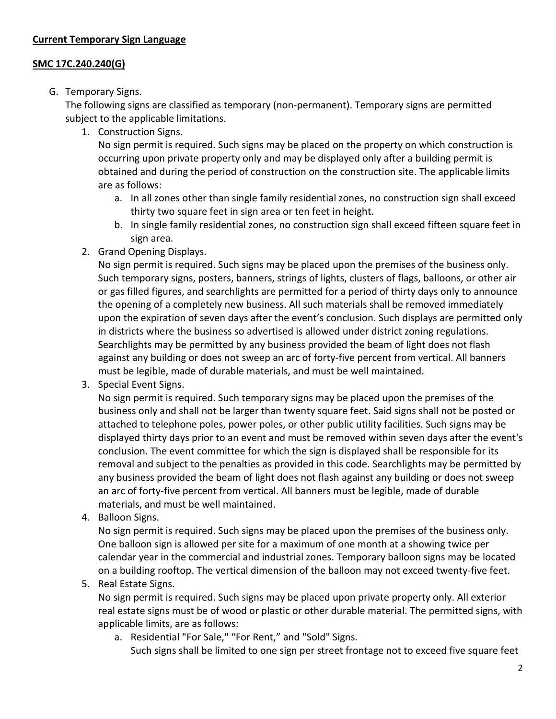# **SMC 17C.240.240(G)**

# G. Temporary Signs.

The following signs are classified as temporary (non-permanent). Temporary signs are permitted subject to the applicable limitations.

1. Construction Signs.

No sign permit is required. Such signs may be placed on the property on which construction is occurring upon private property only and may be displayed only after a building permit is obtained and during the period of construction on the construction site. The applicable limits are as follows:

- a. In all zones other than single family residential zones, no construction sign shall exceed thirty two square feet in sign area or ten feet in height.
- b. In single family residential zones, no construction sign shall exceed fifteen square feet in sign area.
- 2. Grand Opening Displays.

No sign permit is required. Such signs may be placed upon the premises of the business only. Such temporary signs, posters, banners, strings of lights, clusters of flags, balloons, or other air or gas filled figures, and searchlights are permitted for a period of thirty days only to announce the opening of a completely new business. All such materials shall be removed immediately upon the expiration of seven days after the event's conclusion. Such displays are permitted only in districts where the business so advertised is allowed under district zoning regulations. Searchlights may be permitted by any business provided the beam of light does not flash against any building or does not sweep an arc of forty-five percent from vertical. All banners must be legible, made of durable materials, and must be well maintained.

3. Special Event Signs.

No sign permit is required. Such temporary signs may be placed upon the premises of the business only and shall not be larger than twenty square feet. Said signs shall not be posted or attached to telephone poles, power poles, or other public utility facilities. Such signs may be displayed thirty days prior to an event and must be removed within seven days after the event's conclusion. The event committee for which the sign is displayed shall be responsible for its removal and subject to the penalties as provided in this code. Searchlights may be permitted by any business provided the beam of light does not flash against any building or does not sweep an arc of forty-five percent from vertical. All banners must be legible, made of durable materials, and must be well maintained.

4. Balloon Signs.

No sign permit is required. Such signs may be placed upon the premises of the business only. One balloon sign is allowed per site for a maximum of one month at a showing twice per calendar year in the commercial and industrial zones. Temporary balloon signs may be located on a building rooftop. The vertical dimension of the balloon may not exceed twenty-five feet.

5. Real Estate Signs.

No sign permit is required. Such signs may be placed upon private property only. All exterior real estate signs must be of wood or plastic or other durable material. The permitted signs, with applicable limits, are as follows:

a. Residential "For Sale," "For Rent," and "Sold" Signs.

Such signs shall be limited to one sign per street frontage not to exceed five square feet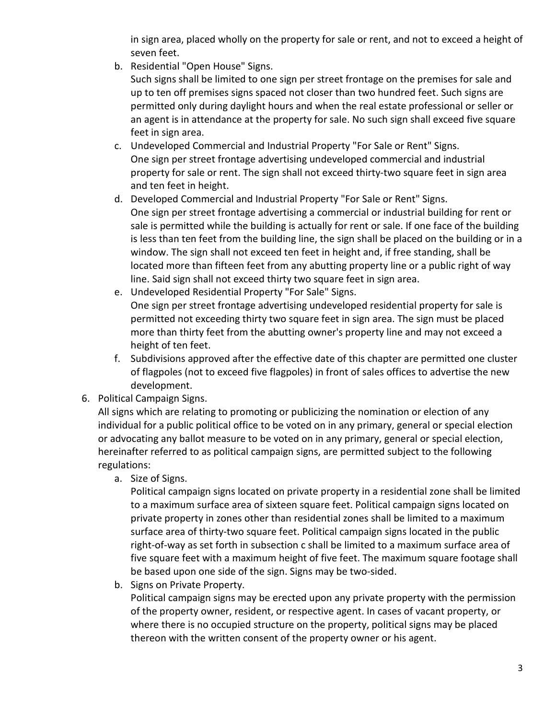in sign area, placed wholly on the property for sale or rent, and not to exceed a height of seven feet.

- b. Residential "Open House" Signs.
	- Such signs shall be limited to one sign per street frontage on the premises for sale and up to ten off premises signs spaced not closer than two hundred feet. Such signs are permitted only during daylight hours and when the real estate professional or seller or an agent is in attendance at the property for sale. No such sign shall exceed five square feet in sign area.
- c. Undeveloped Commercial and Industrial Property "For Sale or Rent" Signs. One sign per street frontage advertising undeveloped commercial and industrial property for sale or rent. The sign shall not exceed thirty-two square feet in sign area and ten feet in height.
- d. Developed Commercial and Industrial Property "For Sale or Rent" Signs. One sign per street frontage advertising a commercial or industrial building for rent or sale is permitted while the building is actually for rent or sale. If one face of the building is less than ten feet from the building line, the sign shall be placed on the building or in a window. The sign shall not exceed ten feet in height and, if free standing, shall be located more than fifteen feet from any abutting property line or a public right of way line. Said sign shall not exceed thirty two square feet in sign area.
- e. Undeveloped Residential Property "For Sale" Signs. One sign per street frontage advertising undeveloped residential property for sale is permitted not exceeding thirty two square feet in sign area. The sign must be placed more than thirty feet from the abutting owner's property line and may not exceed a height of ten feet.
- f. Subdivisions approved after the effective date of this chapter are permitted one cluster of flagpoles (not to exceed five flagpoles) in front of sales offices to advertise the new development.
- 6. Political Campaign Signs.

All signs which are relating to promoting or publicizing the nomination or election of any individual for a public political office to be voted on in any primary, general or special election or advocating any ballot measure to be voted on in any primary, general or special election, hereinafter referred to as political campaign signs, are permitted subject to the following regulations:

a. Size of Signs.

Political campaign signs located on private property in a residential zone shall be limited to a maximum surface area of sixteen square feet. Political campaign signs located on private property in zones other than residential zones shall be limited to a maximum surface area of thirty-two square feet. Political campaign signs located in the public right-of-way as set forth in subsection c shall be limited to a maximum surface area of five square feet with a maximum height of five feet. The maximum square footage shall be based upon one side of the sign. Signs may be two-sided.

b. Signs on Private Property.

Political campaign signs may be erected upon any private property with the permission of the property owner, resident, or respective agent. In cases of vacant property, or where there is no occupied structure on the property, political signs may be placed thereon with the written consent of the property owner or his agent.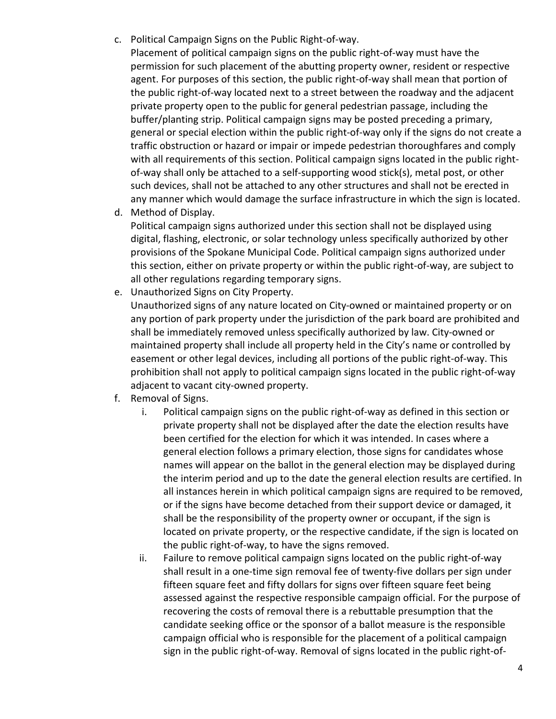- c. Political Campaign Signs on the Public Right-of-way.
	- Placement of political campaign signs on the public right-of-way must have the permission for such placement of the abutting property owner, resident or respective agent. For purposes of this section, the public right-of-way shall mean that portion of the public right-of-way located next to a street between the roadway and the adjacent private property open to the public for general pedestrian passage, including the buffer/planting strip. Political campaign signs may be posted preceding a primary, general or special election within the public right-of-way only if the signs do not create a traffic obstruction or hazard or impair or impede pedestrian thoroughfares and comply with all requirements of this section. Political campaign signs located in the public rightof-way shall only be attached to a self-supporting wood stick(s), metal post, or other such devices, shall not be attached to any other structures and shall not be erected in any manner which would damage the surface infrastructure in which the sign is located.
- d. Method of Display.

Political campaign signs authorized under this section shall not be displayed using digital, flashing, electronic, or solar technology unless specifically authorized by other provisions of the Spokane Municipal Code. Political campaign signs authorized under this section, either on private property or within the public right-of-way, are subject to all other regulations regarding temporary signs.

- e. Unauthorized Signs on City Property. Unauthorized signs of any nature located on City-owned or maintained property or on any portion of park property under the jurisdiction of the park board are prohibited and shall be immediately removed unless specifically authorized by law. City-owned or maintained property shall include all property held in the City's name or controlled by easement or other legal devices, including all portions of the public right-of-way. This prohibition shall not apply to political campaign signs located in the public right-of-way adjacent to vacant city-owned property.
- f. Removal of Signs.
	- i. Political campaign signs on the public right-of-way as defined in this section or private property shall not be displayed after the date the election results have been certified for the election for which it was intended. In cases where a general election follows a primary election, those signs for candidates whose names will appear on the ballot in the general election may be displayed during the interim period and up to the date the general election results are certified. In all instances herein in which political campaign signs are required to be removed, or if the signs have become detached from their support device or damaged, it shall be the responsibility of the property owner or occupant, if the sign is located on private property, or the respective candidate, if the sign is located on the public right-of-way, to have the signs removed.
	- ii. Failure to remove political campaign signs located on the public right-of-way shall result in a one-time sign removal fee of twenty-five dollars per sign under fifteen square feet and fifty dollars for signs over fifteen square feet being assessed against the respective responsible campaign official. For the purpose of recovering the costs of removal there is a rebuttable presumption that the candidate seeking office or the sponsor of a ballot measure is the responsible campaign official who is responsible for the placement of a political campaign sign in the public right-of-way. Removal of signs located in the public right-of-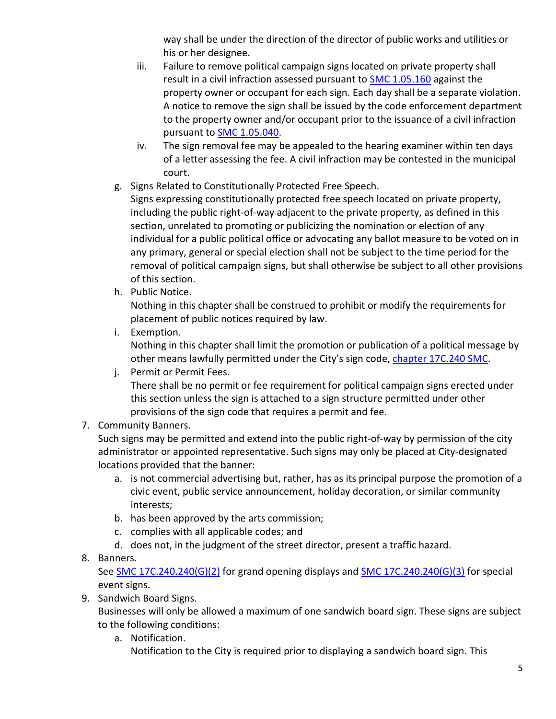way shall be under the direction of the director of public works and utilities or his or her designee.

- iii. Failure to remove political campaign signs located on private property shall result in a civil infraction assessed pursuant to **SMC 1.05.160** against the property owner or occupant for each sign. Each day shall be a separate violation. A notice to remove the sign shall be issued by the code enforcement department to the property owner and/or occupant prior to the issuance of a civil infraction pursuant to **SMC 1.05.040**.
- iv. The sign removal fee may be appealed to the hearing examiner within ten days of a letter assessing the fee. A civil infraction may be contested in the municipal court.
- g. Signs Related to Constitutionally Protected Free Speech.
	- Signs expressing constitutionally protected free speech located on private property, including the public right-of-way adjacent to the private property, as defined in this section, unrelated to promoting or publicizing the nomination or election of any individual for a public political office or advocating any ballot measure to be voted on in any primary, general or special election shall not be subject to the time period for the removal of political campaign signs, but shall otherwise be subject to all other provisions of this section.
- h. Public Notice.

Nothing in this chapter shall be construed to prohibit or modify the requirements for placement of public notices required by law.

i. Exemption.

Nothing in this chapter shall limit the promotion or publication of a political message by other means lawfully permitted under the City's sign code, [chapter 17C.240 SMC.](http://my.spokanecity.org/smc/?Chapter=17C.240)

j. Permit or Permit Fees.

There shall be no permit or fee requirement for political campaign signs erected under this section unless the sign is attached to a sign structure permitted under other provisions of the sign code that requires a permit and fee.

7. Community Banners.

Such signs may be permitted and extend into the public right-of-way by permission of the city administrator or appointed representative. Such signs may only be placed at City-designated locations provided that the banner:

- a. is not commercial advertising but, rather, has as its principal purpose the promotion of a civic event, public service announcement, holiday decoration, or similar community interests;
- b. has been approved by the arts commission;
- c. complies with all applicable codes; and
- d. does not, in the judgment of the street director, present a traffic hazard.
- 8. Banners.

See [SMC 17C.240.240\(G\)\(2\)](https://my.spokanecity.org/legacy-sites/SMCUpload/frmUpdateCode.aspx#SMC%2017C.240.240(G)(2)) for grand opening displays an[d SMC 17C.240.240\(G\)\(3\)](https://my.spokanecity.org/legacy-sites/SMCUpload/frmUpdateCode.aspx#SMC%2017C.240.240(G)(3)) for special event signs.

9. Sandwich Board Signs.

Businesses will only be allowed a maximum of one sandwich board sign. These signs are subject to the following conditions:

a. Notification.

Notification to the City is required prior to displaying a sandwich board sign. This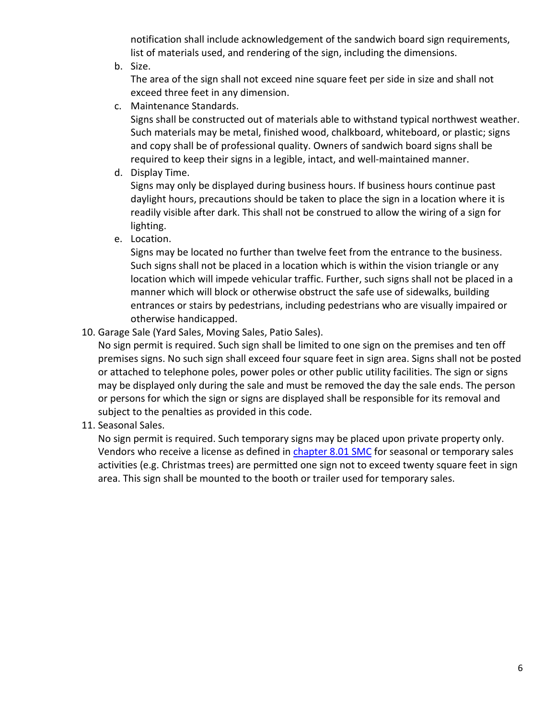notification shall include acknowledgement of the sandwich board sign requirements, list of materials used, and rendering of the sign, including the dimensions.

b. Size.

The area of the sign shall not exceed nine square feet per side in size and shall not exceed three feet in any dimension.

c. Maintenance Standards.

Signs shall be constructed out of materials able to withstand typical northwest weather. Such materials may be metal, finished wood, chalkboard, whiteboard, or plastic; signs and copy shall be of professional quality. Owners of sandwich board signs shall be required to keep their signs in a legible, intact, and well-maintained manner.

d. Display Time.

Signs may only be displayed during business hours. If business hours continue past daylight hours, precautions should be taken to place the sign in a location where it is readily visible after dark. This shall not be construed to allow the wiring of a sign for lighting.

e. Location.

Signs may be located no further than twelve feet from the entrance to the business. Such signs shall not be placed in a location which is within the vision triangle or any location which will impede vehicular traffic. Further, such signs shall not be placed in a manner which will block or otherwise obstruct the safe use of sidewalks, building entrances or stairs by pedestrians, including pedestrians who are visually impaired or otherwise handicapped.

10. Garage Sale (Yard Sales, Moving Sales, Patio Sales).

No sign permit is required. Such sign shall be limited to one sign on the premises and ten off premises signs. No such sign shall exceed four square feet in sign area. Signs shall not be posted or attached to telephone poles, power poles or other public utility facilities. The sign or signs may be displayed only during the sale and must be removed the day the sale ends. The person or persons for which the sign or signs are displayed shall be responsible for its removal and subject to the penalties as provided in this code.

11. Seasonal Sales.

No sign permit is required. Such temporary signs may be placed upon private property only. Vendors who receive a license as defined in [chapter 8.01 SMC](http://my.spokanecity.org/smc/?Chapter=08.01) for seasonal or temporary sales activities (e.g. Christmas trees) are permitted one sign not to exceed twenty square feet in sign area. This sign shall be mounted to the booth or trailer used for temporary sales.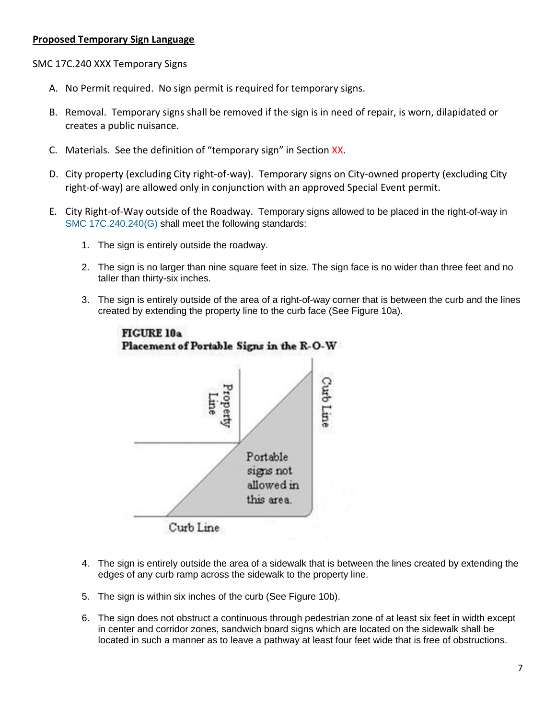#### **Proposed Temporary Sign Language**

SMC 17C.240 XXX Temporary Signs

- A. No Permit required. No sign permit is required for temporary signs.
- B. Removal. Temporary signs shall be removed if the sign is in need of repair, is worn, dilapidated or creates a public nuisance.
- C. Materials. See the definition of "temporary sign" in Section XX.
- D. City property (excluding City right-of-way). Temporary signs on City-owned property (excluding City right-of-way) are allowed only in conjunction with an approved Special Event permit.
- E. City Right-of-Way outside of the Roadway. Temporary signs allowed to be placed in the right-of-way in [SMC 17C.240.240\(G\)](https://my.spokanecity.org/legacy-sites/SMCUpload/frmUpdateCode.aspx#SMC%2017C.240.240(G)) shall meet the following standards:
	- 1. The sign is entirely outside the roadway.
	- 2. The sign is no larger than nine square feet in size. The sign face is no wider than three feet and no taller than thirty-six inches.
	- 3. The sign is entirely outside of the area of a right-of-way corner that is between the curb and the lines created by extending the property line to the curb face (See Figure 10a).



- 4. The sign is entirely outside the area of a sidewalk that is between the lines created by extending the edges of any curb ramp across the sidewalk to the property line.
- 5. The sign is within six inches of the curb (See Figure 10b).
- 6. The sign does not obstruct a continuous through pedestrian zone of at least six feet in width except in center and corridor zones, sandwich board signs which are located on the sidewalk shall be located in such a manner as to leave a pathway at least four feet wide that is free of obstructions.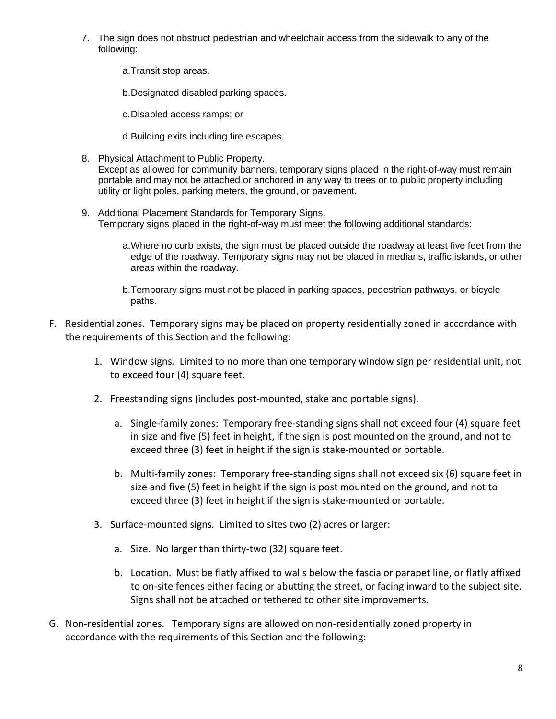7. The sign does not obstruct pedestrian and wheelchair access from the sidewalk to any of the following:

a.Transit stop areas.

b.Designated disabled parking spaces.

c.Disabled access ramps; or

d.Building exits including fire escapes.

- 8. Physical Attachment to Public Property. Except as allowed for community banners, temporary signs placed in the right-of-way must remain portable and may not be attached or anchored in any way to trees or to public property including utility or light poles, parking meters, the ground, or pavement.
- 9. Additional Placement Standards for Temporary Signs. Temporary signs placed in the right-of-way must meet the following additional standards:
	- a. Where no curb exists, the sign must be placed outside the roadway at least five feet from the edge of the roadway. Temporary signs may not be placed in medians, traffic islands, or other areas within the roadway.
	- b.Temporary signs must not be placed in parking spaces, pedestrian pathways, or bicycle paths.
- F. Residential zones. Temporary signs may be placed on property residentially zoned in accordance with the requirements of this Section and the following:
	- 1. Window signs*.* Limited to no more than one temporary window sign per residential unit, not to exceed four (4) square feet.
	- 2. Freestanding signs (includes post-mounted, stake and portable signs).
		- a. Single-family zones: Temporary free-standing signs shall not exceed four (4) square feet in size and five (5) feet in height, if the sign is post mounted on the ground, and not to exceed three (3) feet in height if the sign is stake-mounted or portable.
		- b. Multi-family zones: Temporary free-standing signs shall not exceed six (6) square feet in size and five (5) feet in height if the sign is post mounted on the ground, and not to exceed three (3) feet in height if the sign is stake-mounted or portable.
	- 3. Surface-mounted signs*.* Limited to sites two (2) acres or larger:
		- a. Size. No larger than thirty-two (32) square feet.
		- b. Location. Must be flatly affixed to walls below the fascia or parapet line, or flatly affixed to on-site fences either facing or abutting the street, or facing inward to the subject site. Signs shall not be attached or tethered to other site improvements.
- G. Non-residential zones. Temporary signs are allowed on non-residentially zoned property in accordance with the requirements of this Section and the following: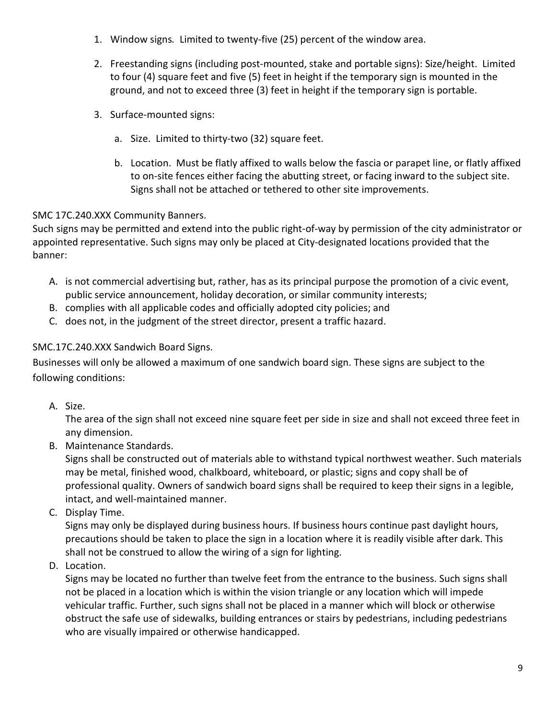- 1. Window signs*.* Limited to twenty-five (25) percent of the window area.
- 2. Freestanding signs (including post-mounted, stake and portable signs): Size/height. Limited to four (4) square feet and five (5) feet in height if the temporary sign is mounted in the ground, and not to exceed three (3) feet in height if the temporary sign is portable.
- 3. Surface-mounted signs:
	- a. Size. Limited to thirty-two (32) square feet.
	- b. Location. Must be flatly affixed to walls below the fascia or parapet line, or flatly affixed to on-site fences either facing the abutting street, or facing inward to the subject site. Signs shall not be attached or tethered to other site improvements.

# SMC 17C.240.XXX Community Banners.

Such signs may be permitted and extend into the public right-of-way by permission of the city administrator or appointed representative. Such signs may only be placed at City-designated locations provided that the banner:

- A. is not commercial advertising but, rather, has as its principal purpose the promotion of a civic event, public service announcement, holiday decoration, or similar community interests;
- B. complies with all applicable codes and officially adopted city policies; and
- C. does not, in the judgment of the street director, present a traffic hazard.

# SMC.17C.240.XXX Sandwich Board Signs.

Businesses will only be allowed a maximum of one sandwich board sign. These signs are subject to the following conditions:

A. Size.

The area of the sign shall not exceed nine square feet per side in size and shall not exceed three feet in any dimension.

B. Maintenance Standards.

Signs shall be constructed out of materials able to withstand typical northwest weather. Such materials may be metal, finished wood, chalkboard, whiteboard, or plastic; signs and copy shall be of professional quality. Owners of sandwich board signs shall be required to keep their signs in a legible, intact, and well-maintained manner.

C. Display Time.

Signs may only be displayed during business hours. If business hours continue past daylight hours, precautions should be taken to place the sign in a location where it is readily visible after dark. This shall not be construed to allow the wiring of a sign for lighting.

D. Location.

Signs may be located no further than twelve feet from the entrance to the business. Such signs shall not be placed in a location which is within the vision triangle or any location which will impede vehicular traffic. Further, such signs shall not be placed in a manner which will block or otherwise obstruct the safe use of sidewalks, building entrances or stairs by pedestrians, including pedestrians who are visually impaired or otherwise handicapped.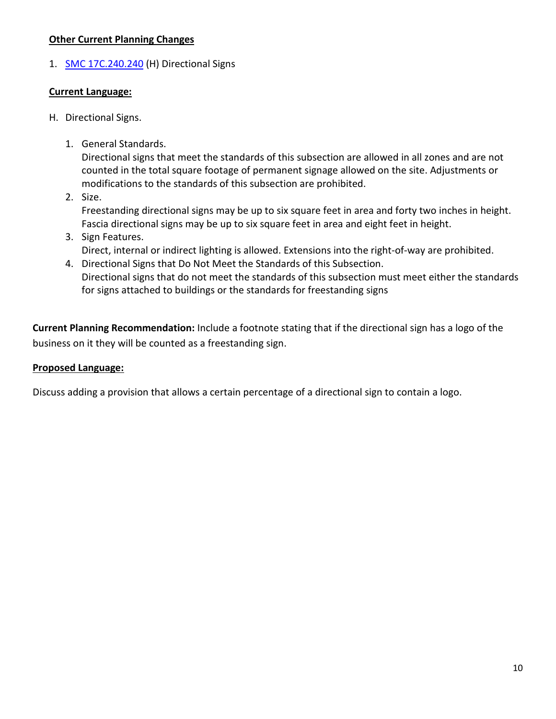## **Other Current Planning Changes**

1. **[SMC 17C.240.240](https://my.spokanecity.org/smc/?Section=17C.240.240) (H) Directional Signs** 

#### **Current Language:**

- H. Directional Signs.
	- 1. General Standards.

Directional signs that meet the standards of this subsection are allowed in all zones and are not counted in the total square footage of permanent signage allowed on the site. Adjustments or modifications to the standards of this subsection are prohibited.

- 2. Size. Freestanding directional signs may be up to six square feet in area and forty two inches in height. Fascia directional signs may be up to six square feet in area and eight feet in height.
- 3. Sign Features. Direct, internal or indirect lighting is allowed. Extensions into the right-of-way are prohibited.
- 4. Directional Signs that Do Not Meet the Standards of this Subsection. Directional signs that do not meet the standards of this subsection must meet either the standards for signs attached to buildings or the standards for freestanding signs

**Current Planning Recommendation:** Include a footnote stating that if the directional sign has a logo of the business on it they will be counted as a freestanding sign.

## **Proposed Language:**

Discuss adding a provision that allows a certain percentage of a directional sign to contain a logo.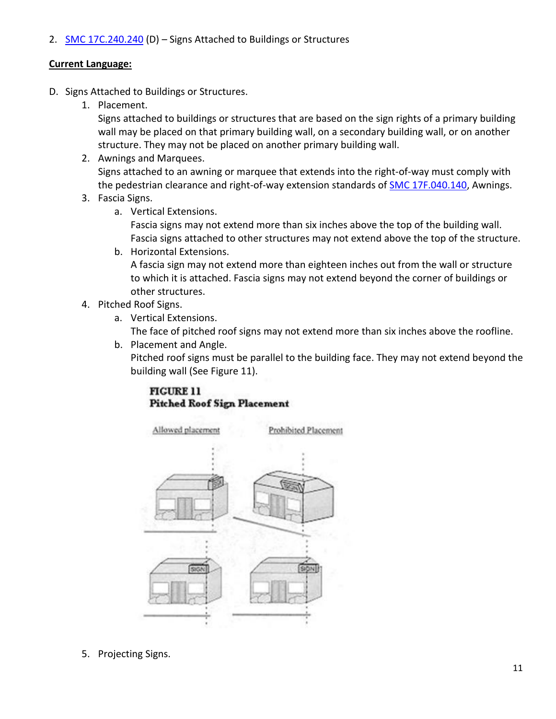2. [SMC 17C.240.240](https://my.spokanecity.org/smc/?Section=17C.240.240) (D) - Signs Attached to Buildings or Structures

## **Current Language:**

- D. Signs Attached to Buildings or Structures.
	- 1. Placement.

Signs attached to buildings or structures that are based on the sign rights of a primary building wall may be placed on that primary building wall, on a secondary building wall, or on another structure. They may not be placed on another primary building wall.

- 2. Awnings and Marquees. Signs attached to an awning or marquee that extends into the right-of-way must comply with the pedestrian clearance and right-of-way extension standards of [SMC 17F.040.140,](http://my.spokanecity.org/smc/?Section=17F.040.140) Awnings.
- 3. Fascia Signs.
	- a. Vertical Extensions.

Fascia signs may not extend more than six inches above the top of the building wall. Fascia signs attached to other structures may not extend above the top of the structure.

- b. Horizontal Extensions. A fascia sign may not extend more than eighteen inches out from the wall or structure to which it is attached. Fascia signs may not extend beyond the corner of buildings or other structures.
- 4. Pitched Roof Signs.
	- a. Vertical Extensions.

The face of pitched roof signs may not extend more than six inches above the roofline.

b. Placement and Angle.

Pitched roof signs must be parallel to the building face. They may not extend beyond the building wall (See Figure 11).

## **FIGURE 11 Pitched Roof Sign Placement**



5. Projecting Signs.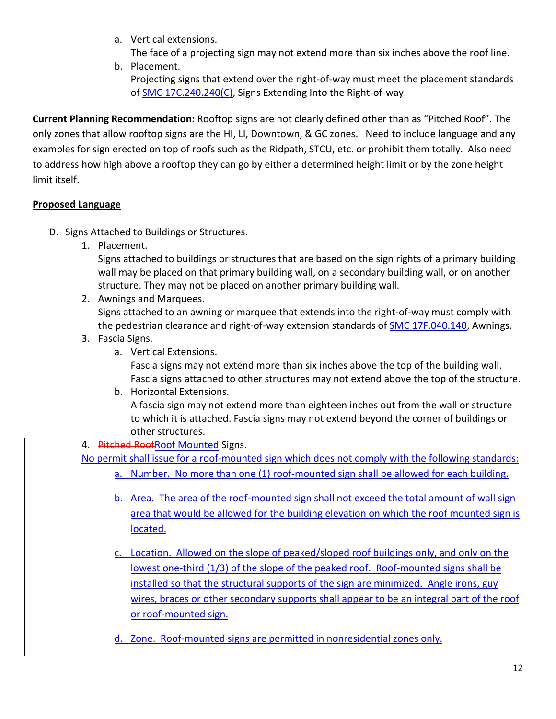a. Vertical extensions.

The face of a projecting sign may not extend more than six inches above the roof line.

b. Placement. Projecting signs that extend over the right-of-way must meet the placement standards o[f SMC 17C.240.240\(C\),](https://my.spokanecity.org/legacy-sites/SMCUpload/frmUpdateCode.aspx#SMC%2017C.240.240(C)) Signs Extending Into the Right-of-way.

**Current Planning Recommendation:** Rooftop signs are not clearly defined other than as "Pitched Roof". The only zones that allow rooftop signs are the HI, LI, Downtown, & GC zones. Need to include language and any examples for sign erected on top of roofs such as the Ridpath, STCU, etc. or prohibit them totally. Also need to address how high above a rooftop they can go by either a determined height limit or by the zone height limit itself.

# **Proposed Language**

- D. Signs Attached to Buildings or Structures.
	- 1. Placement.

Signs attached to buildings or structures that are based on the sign rights of a primary building wall may be placed on that primary building wall, on a secondary building wall, or on another structure. They may not be placed on another primary building wall.

2. Awnings and Marquees.

Signs attached to an awning or marquee that extends into the right-of-way must comply with the pedestrian clearance and right-of-way extension standards of **SMC 17F.040.140**, Awnings.

- 3. Fascia Signs.
	- a. Vertical Extensions.

Fascia signs may not extend more than six inches above the top of the building wall. Fascia signs attached to other structures may not extend above the top of the structure.

## b. Horizontal Extensions.

A fascia sign may not extend more than eighteen inches out from the wall or structure to which it is attached. Fascia signs may not extend beyond the corner of buildings or other structures.

## 4. Pitched RoofRoof Mounted Signs.

No permit shall issue for a roof-mounted sign which does not comply with the following standards:

- a. Number. No more than one (1) roof-mounted sign shall be allowed for each building.
- b. Area. The area of the roof-mounted sign shall not exceed the total amount of wall sign area that would be allowed for the building elevation on which the roof mounted sign is located.
- c. Location. Allowed on the slope of peaked/sloped roof buildings only, and only on the lowest one-third (1/3) of the slope of the peaked roof. Roof-mounted signs shall be installed so that the structural supports of the sign are minimized. Angle irons, guy wires, braces or other secondary supports shall appear to be an integral part of the roof or roof-mounted sign.
- d. Zone. Roof-mounted signs are permitted in nonresidential zones only.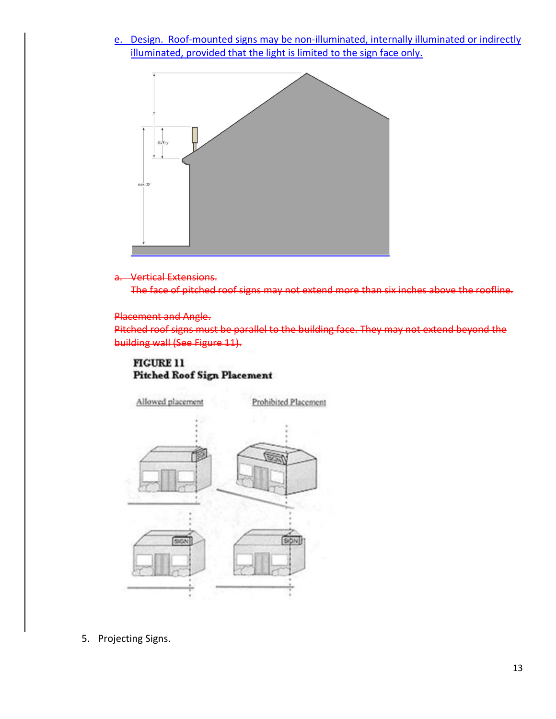e. Design. Roof-mounted signs may be non-illuminated, internally illuminated or indirectly illuminated, provided that the light is limited to the sign face only.



#### a. Vertical Extensions.

The face of pitched roof signs may not extend more than six inches above the roofline.

#### Placement and Angle.

Pitched roof signs must be parallel to the building face. They may not extend beyond the building wall (See Figure 11).

#### **FIGURE 11 Pitched Roof Sign Placement**



5. Projecting Signs.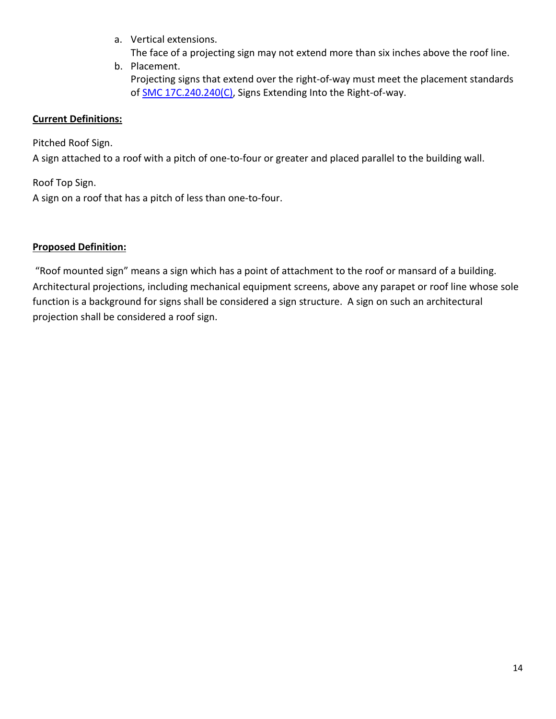a. Vertical extensions.

The face of a projecting sign may not extend more than six inches above the roof line.

b. Placement. Projecting signs that extend over the right-of-way must meet the placement standards o[f SMC 17C.240.240\(C\),](https://my.spokanecity.org/legacy-sites/SMCUpload/frmUpdateCode.aspx#SMC%2017C.240.240(C)) Signs Extending Into the Right-of-way.

# **Current Definitions:**

Pitched Roof Sign.

A sign attached to a roof with a pitch of one-to-four or greater and placed parallel to the building wall.

Roof Top Sign.

A sign on a roof that has a pitch of less than one-to-four.

# **Proposed Definition:**

"Roof mounted sign" means a sign which has a point of attachment to the roof or mansard of a building. Architectural projections, including mechanical equipment screens, above any parapet or roof line whose sole function is a background for signs shall be considered a sign structure. A sign on such an architectural projection shall be considered a roof sign.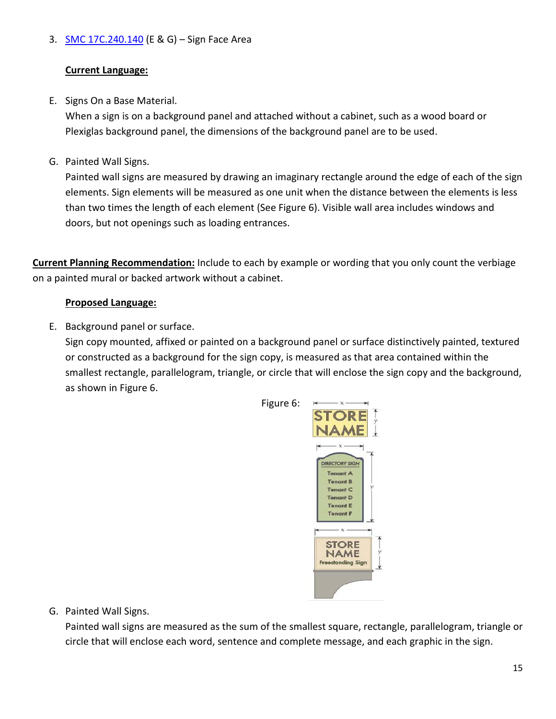# 3. [SMC 17C.240.140](https://my.spokanecity.org/smc/?Section=17C.240.140) (E & G) - Sign Face Area

# **Current Language:**

E. Signs On a Base Material.

When a sign is on a background panel and attached without a cabinet, such as a wood board or Plexiglas background panel, the dimensions of the background panel are to be used.

G. Painted Wall Signs.

Painted wall signs are measured by drawing an imaginary rectangle around the edge of each of the sign elements. Sign elements will be measured as one unit when the distance between the elements is less than two times the length of each element (See Figure 6). Visible wall area includes windows and doors, but not openings such as loading entrances.

**Current Planning Recommendation:** Include to each by example or wording that you only count the verbiage on a painted mural or backed artwork without a cabinet.

# **Proposed Language:**

E. Background panel or surface.

Sign copy mounted, affixed or painted on a background panel or surface distinctively painted, textured or constructed as a background for the sign copy, is measured as that area contained within the smallest rectangle, parallelogram, triangle, or circle that will enclose the sign copy and the background, as shown in Figure 6.



Figure 6:

G. Painted Wall Signs.

Painted wall signs are measured as the sum of the smallest square, rectangle, parallelogram, triangle or circle that will enclose each word, sentence and complete message, and each graphic in the sign.